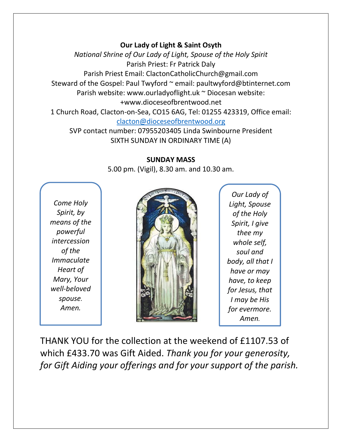## **Our Lady of Light & Saint Osyth**

*National Shrine of Our Lady of Light, Spouse of the Holy Spirit* Parish Priest: Fr Patrick Daly Parish Priest Email: ClactonCatholicChurch@gmail.com Steward of the Gospel: Paul Twyford ~ email: paultwyford@btinternet.com Parish website: www.ourladyoflight.uk ~ Diocesan website: +www.dioceseofbrentwood.net 1 Church Road, Clacton-on-Sea, CO15 6AG, Tel: 01255 423319, Office email:

[clacton@dioceseofbrentwood.org](mailto:clacton@dioceseofbrentwood.org)

SVP contact number: 07955203405 Linda Swinbourne President SIXTH SUNDAY IN ORDINARY TIME (A)

## **SUNDAY MASS**

5.00 pm. (Vigil), 8.30 am. and 10.30 am.

*Come Holy Spirit, by means of the powerful intercession of the Immaculate Heart of Mary, Your well-beloved spouse. Amen.*



*Our Lady of Light, Spouse of the Holy Spirit, I give thee my whole self, soul and body, all that I have or may have, to keep for Jesus, that I may be His for evermore. Amen.*

THANK YOU for the collection at the weekend of £1107.53 of which £433.70 was Gift Aided. *Thank you for your generosity, for Gift Aiding your offerings and for your support of the parish.*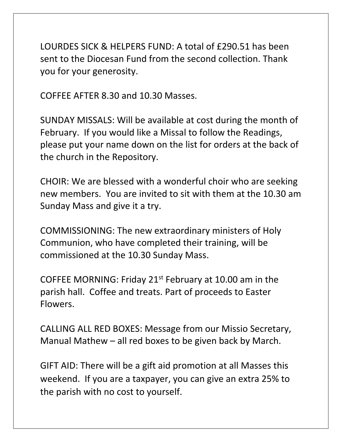LOURDES SICK & HELPERS FUND: A total of £290.51 has been sent to the Diocesan Fund from the second collection. Thank you for your generosity.

COFFEE AFTER 8.30 and 10.30 Masses.

SUNDAY MISSALS: Will be available at cost during the month of February. If you would like a Missal to follow the Readings, please put your name down on the list for orders at the back of the church in the Repository.

CHOIR: We are blessed with a wonderful choir who are seeking new members. You are invited to sit with them at the 10.30 am Sunday Mass and give it a try.

COMMISSIONING: The new extraordinary ministers of Holy Communion, who have completed their training, will be commissioned at the 10.30 Sunday Mass.

COFFEE MORNING: Friday  $21^{st}$  February at 10.00 am in the parish hall. Coffee and treats. Part of proceeds to Easter Flowers.

CALLING ALL RED BOXES: Message from our Missio Secretary, Manual Mathew – all red boxes to be given back by March.

GIFT AID: There will be a gift aid promotion at all Masses this weekend. If you are a taxpayer, you can give an extra 25% to the parish with no cost to yourself.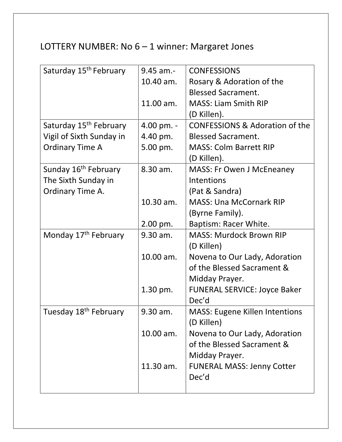## LOTTERY NUMBER: No 6 – 1 winner: Margaret Jones

| Saturday 15 <sup>th</sup> February | $9.45$ am.- | <b>CONFESSIONS</b>                        |
|------------------------------------|-------------|-------------------------------------------|
|                                    | 10.40 am.   | Rosary & Adoration of the                 |
|                                    |             | <b>Blessed Sacrament.</b>                 |
|                                    | 11.00 am.   | <b>MASS: Liam Smith RIP</b>               |
|                                    |             | (D Killen).                               |
| Saturday 15 <sup>th</sup> February | 4.00 pm. -  | <b>CONFESSIONS &amp; Adoration of the</b> |
| Vigil of Sixth Sunday in           | 4.40 pm.    | <b>Blessed Sacrament.</b>                 |
| <b>Ordinary Time A</b>             | 5.00 pm.    | <b>MASS: Colm Barrett RIP</b>             |
|                                    |             | (D Killen).                               |
| Sunday 16 <sup>th</sup> February   | 8.30 am.    | <b>MASS: Fr Owen J McEneaney</b>          |
| The Sixth Sunday in                |             | Intentions                                |
| Ordinary Time A.                   |             | (Pat & Sandra)                            |
|                                    | 10.30 am.   | <b>MASS: Una McCornark RIP</b>            |
|                                    |             | (Byrne Family).                           |
|                                    | 2.00 pm.    | Baptism: Racer White.                     |
| Monday 17 <sup>th</sup> February   | 9.30 am.    | <b>MASS: Murdock Brown RIP</b>            |
|                                    |             | (D Killen)                                |
|                                    | 10.00 am.   | Novena to Our Lady, Adoration             |
|                                    |             | of the Blessed Sacrament &                |
|                                    |             | Midday Prayer.                            |
|                                    | 1.30 pm.    | <b>FUNERAL SERVICE: Joyce Baker</b>       |
|                                    |             | Dec'd                                     |
| Tuesday 18 <sup>th</sup> February  | 9.30 am.    | <b>MASS: Eugene Killen Intentions</b>     |
|                                    |             | (D Killen)                                |
|                                    | 10.00 am.   | Novena to Our Lady, Adoration             |
|                                    |             | of the Blessed Sacrament &                |
|                                    |             | Midday Prayer.                            |
|                                    | 11.30 am.   | <b>FUNERAL MASS: Jenny Cotter</b>         |
|                                    |             | Dec'd                                     |
|                                    |             |                                           |